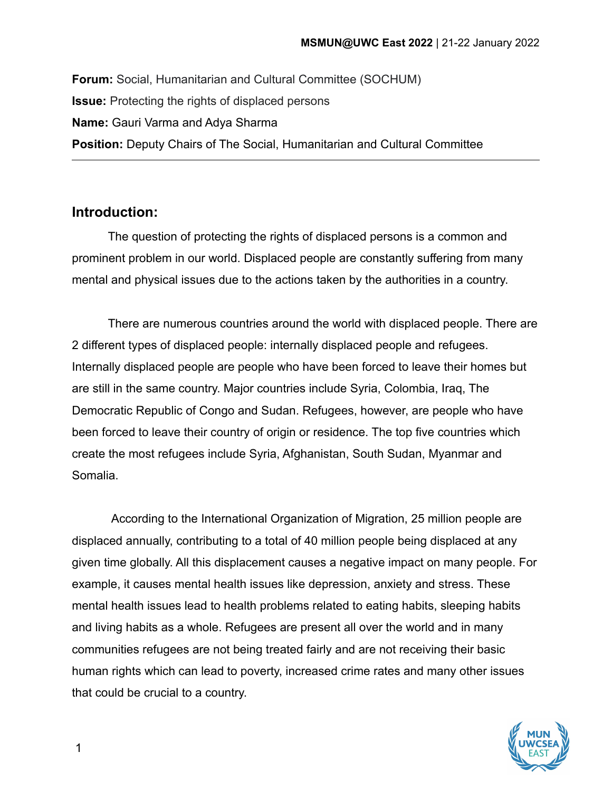**Forum:** Social, Humanitarian and Cultural Committee (SOCHUM) **Issue:** Protecting the rights of displaced persons **Name:** Gauri Varma and Adya Sharma **Position:** Deputy Chairs of The Social, Humanitarian and Cultural Committee

## **Introduction:**

The question of protecting the rights of displaced persons is a common and prominent problem in our world. Displaced people are constantly suffering from many mental and physical issues due to the actions taken by the authorities in a country.

There are numerous countries around the world with displaced people. There are 2 different types of displaced people: internally displaced people and refugees. Internally displaced people are people who have been forced to leave their homes but are still in the same country. Major countries include Syria, Colombia, Iraq, The Democratic Republic of Congo and Sudan. Refugees, however, are people who have been forced to leave their country of origin or residence. The top five countries which create the most refugees include Syria, Afghanistan, South Sudan, Myanmar and Somalia.

According to the International Organization of Migration, 25 million people are displaced annually, contributing to a total of 40 million people being displaced at any given time globally. All this displacement causes a negative impact on many people. For example, it causes mental health issues like depression, anxiety and stress. These mental health issues lead to health problems related to eating habits, sleeping habits and living habits as a whole. Refugees are present all over the world and in many communities refugees are not being treated fairly and are not receiving their basic human rights which can lead to poverty, increased crime rates and many other issues that could be crucial to a country.



1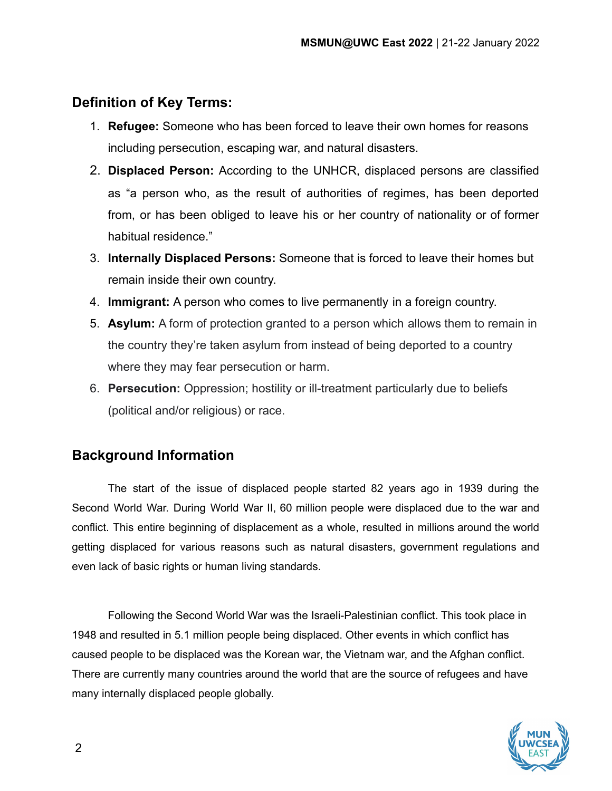# **Definition of Key Terms:**

- 1. **Refugee:** Someone who has been forced to leave their own homes for reasons including persecution, escaping war, and natural disasters.
- 2. **Displaced Person:** According to the UNHCR, displaced persons are classified as "a person who, as the result of authorities of regimes, has been deported from, or has been obliged to leave his or her country of nationality or of former habitual residence."
- 3. **Internally Displaced Persons:** Someone that is forced to leave their homes but remain inside their own country.
- 4. **Immigrant:** A person who comes to live permanently in a foreign country.
- 5. **Asylum:** A form of protection granted to a person which allows them to remain in the country they're taken asylum from instead of being deported to a country where they may fear persecution or harm.
- 6. **Persecution:** Oppression; hostility or ill-treatment particularly due to beliefs (political and/or religious) or race.

# **Background Information**

The start of the issue of displaced people started 82 years ago in 1939 during the Second World War. During World War II, 60 million people were displaced due to the war and conflict. This entire beginning of displacement as a whole, resulted in millions around the world getting displaced for various reasons such as natural disasters, government regulations and even lack of basic rights or human living standards.

Following the Second World War was the Israeli-Palestinian conflict. This took place in 1948 and resulted in 5.1 million people being displaced. Other events in which conflict has caused people to be displaced was the Korean war, the Vietnam war, and the Afghan conflict. There are currently many countries around the world that are the source of refugees and have many internally displaced people globally.

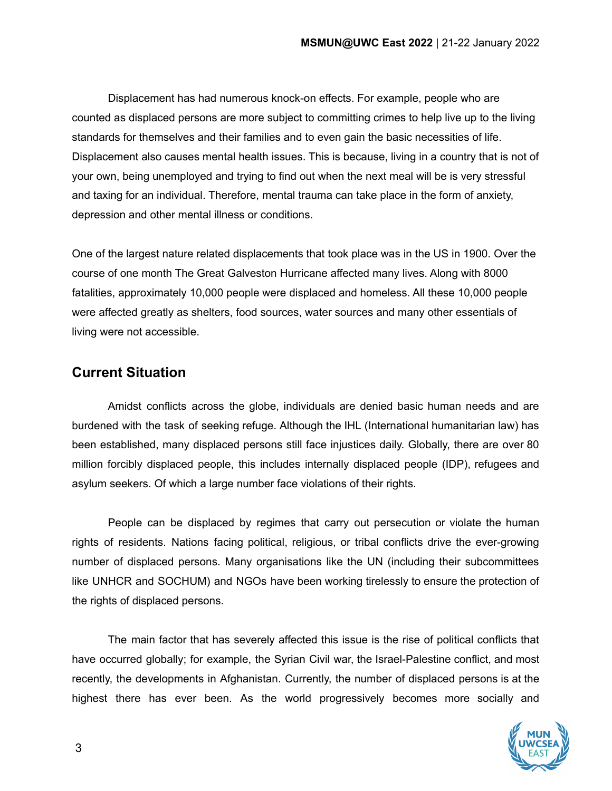Displacement has had numerous knock-on effects. For example, people who are counted as displaced persons are more subject to committing crimes to help live up to the living standards for themselves and their families and to even gain the basic necessities of life. Displacement also causes mental health issues. This is because, living in a country that is not of your own, being unemployed and trying to find out when the next meal will be is very stressful and taxing for an individual. Therefore, mental trauma can take place in the form of anxiety, depression and other mental illness or conditions.

One of the largest nature related displacements that took place was in the US in 1900. Over the course of one month The Great Galveston Hurricane affected many lives. Along with 8000 fatalities, approximately 10,000 people were displaced and homeless. All these 10,000 people were affected greatly as shelters, food sources, water sources and many other essentials of living were not accessible.

#### **Current Situation**

Amidst conflicts across the globe, individuals are denied basic human needs and are burdened with the task of seeking refuge. Although the IHL (International humanitarian law) has been established, many displaced persons still face injustices daily. Globally, there are over 80 million forcibly displaced people, this includes internally displaced people (IDP), refugees and asylum seekers. Of which a large number face violations of their rights.

People can be displaced by regimes that carry out persecution or violate the human rights of residents. Nations facing political, religious, or tribal conflicts drive the ever-growing number of displaced persons. Many organisations like the UN (including their subcommittees like UNHCR and SOCHUM) and NGOs have been working tirelessly to ensure the protection of the rights of displaced persons.

The main factor that has severely affected this issue is the rise of political conflicts that have occurred globally; for example, the Syrian Civil war, the Israel-Palestine conflict, and most recently, the developments in Afghanistan. Currently, the number of displaced persons is at the highest there has ever been. As the world progressively becomes more socially and

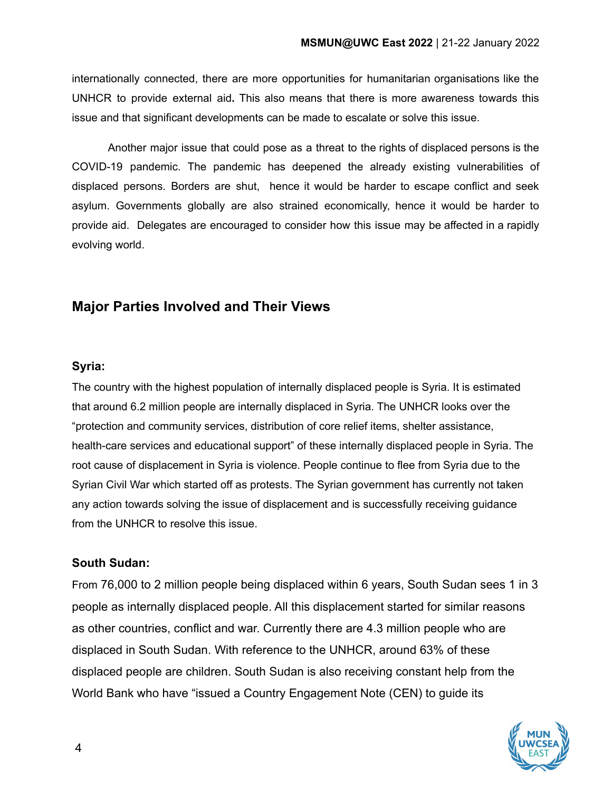internationally connected, there are more opportunities for humanitarian organisations like the UNHCR to provide external aid**.** This also means that there is more awareness towards this issue and that significant developments can be made to escalate or solve this issue.

Another major issue that could pose as a threat to the rights of displaced persons is the COVID-19 pandemic. The pandemic has deepened the already existing vulnerabilities of displaced persons. Borders are shut, hence it would be harder to escape conflict and seek asylum. Governments globally are also strained economically, hence it would be harder to provide aid. Delegates are encouraged to consider how this issue may be affected in a rapidly evolving world.

# **Major Parties Involved and Their Views**

#### **Syria:**

The country with the highest population of internally displaced people is Syria. It is estimated that around 6.2 million people are internally displaced in Syria. The UNHCR looks over the "protection and community services, distribution of core relief items, shelter assistance, health-care services and educational support" of these internally displaced people in Syria. The root cause of displacement in Syria is violence. People continue to flee from Syria due to the Syrian Civil War which started off as protests. The Syrian government has currently not taken any action towards solving the issue of displacement and is successfully receiving guidance from the UNHCR to resolve this issue.

#### **South Sudan:**

From 76,000 to 2 million people being displaced within 6 years, South Sudan sees 1 in 3 people as internally displaced people. All this displacement started for similar reasons as other countries, conflict and war. Currently there are 4.3 million people who are displaced in South Sudan. With reference to the UNHCR, around 63% of these displaced people are children. South Sudan is also receiving constant help from the World Bank who have "issued a Country Engagement Note (CEN) to guide its

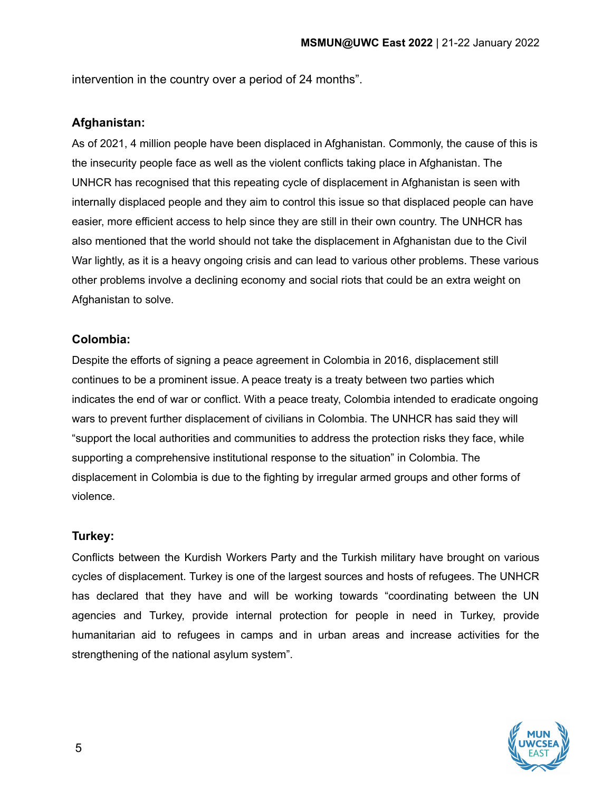intervention in the country over a period of 24 months".

#### **Afghanistan:**

As of 2021, 4 million people have been displaced in Afghanistan. Commonly, the cause of this is the insecurity people face as well as the violent conflicts taking place in Afghanistan. The UNHCR has recognised that this repeating cycle of displacement in Afghanistan is seen with internally displaced people and they aim to control this issue so that displaced people can have easier, more efficient access to help since they are still in their own country. The UNHCR has also mentioned that the world should not take the displacement in Afghanistan due to the Civil War lightly, as it is a heavy ongoing crisis and can lead to various other problems. These various other problems involve a declining economy and social riots that could be an extra weight on Afghanistan to solve.

#### **Colombia:**

Despite the efforts of signing a peace agreement in Colombia in 2016, displacement still continues to be a prominent issue. A peace treaty is a treaty between two parties which indicates the end of war or conflict. With a peace treaty, Colombia intended to eradicate ongoing wars to prevent further displacement of civilians in Colombia. The UNHCR has said they will "support the local authorities and communities to address the protection risks they face, while supporting a comprehensive institutional response to the situation" in Colombia. The displacement in Colombia is due to the fighting by irregular armed groups and other forms of violence.

#### **Turkey:**

Conflicts between the Kurdish Workers Party and the Turkish military have brought on various cycles of displacement. Turkey is one of the largest sources and hosts of refugees. The UNHCR has declared that they have and will be working towards "coordinating between the UN agencies and Turkey, provide internal protection for people in need in Turkey, provide humanitarian aid to refugees in camps and in urban areas and increase activities for the strengthening of the national asylum system".

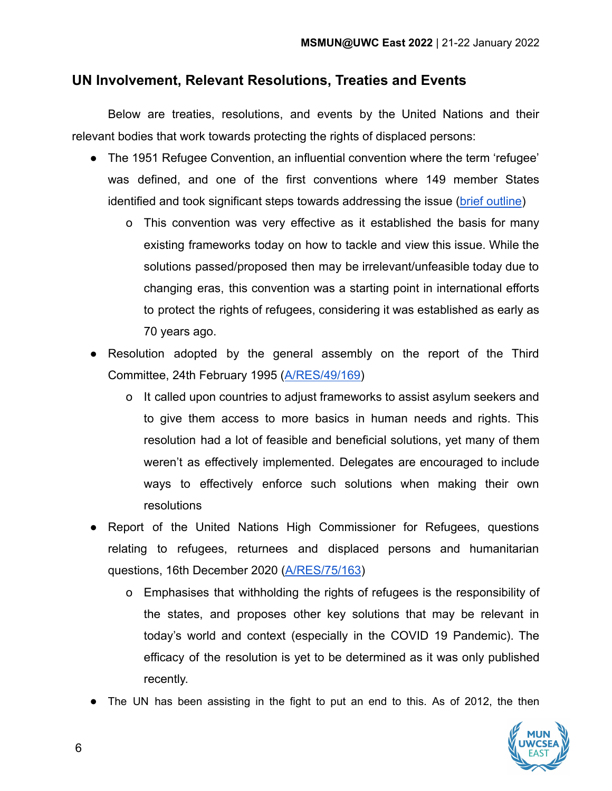### **UN Involvement, Relevant Resolutions, Treaties and Events**

Below are treaties, resolutions, and events by the United Nations and their relevant bodies that work towards protecting the rights of displaced persons:

- The 1951 Refugee Convention, an influential convention where the term 'refugee' was defined, and one of the first conventions where 149 member States identified and took significant steps towards addressing the issue ([brief outline](https://www.unhcr.org/1951-refugee-convention.html))
	- o This convention was very effective as it established the basis for many existing frameworks today on how to tackle and view this issue. While the solutions passed/proposed then may be irrelevant/unfeasible today due to changing eras, this convention was a starting point in international efforts to protect the rights of refugees, considering it was established as early as 70 years ago.
- Resolution adopted by the general assembly on the report of the Third Committee, 24th February 1995 ([A/RES/49/169\)](https://www.unhcr.org/excom/bgares/3ae69efa14/office-united-nations-high-commissioner-refugees-resolution-adopted-general.html?query=resolutions%20refugees)
	- o It called upon countries to adjust frameworks to assist asylum seekers and to give them access to more basics in human needs and rights. This resolution had a lot of feasible and beneficial solutions, yet many of them weren't as effectively implemented. Delegates are encouraged to include ways to effectively enforce such solutions when making their own resolutions
- Report of the United Nations High Commissioner for Refugees, questions relating to refugees, returnees and displaced persons and humanitarian questions, 16th December 2020 [\(A/RES/75/163](https://www.unhcr.org/excom/unhcrannual/60096bfb4/resolution-adopted-general-assembly-16-december-2020-office-united-nations.html))
	- o Emphasises that withholding the rights of refugees is the responsibility of the states, and proposes other key solutions that may be relevant in today's world and context (especially in the COVID 19 Pandemic). The efficacy of the resolution is yet to be determined as it was only published recently.
- The UN has been assisting in the fight to put an end to this. As of 2012, the then

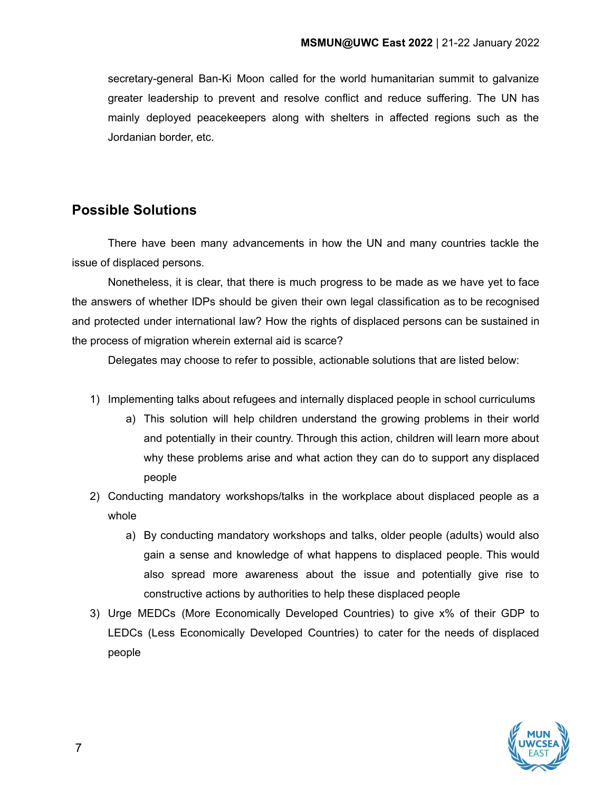secretary-general Ban-Ki Moon called for the world humanitarian summit to galvanize greater leadership to prevent and resolve conflict and reduce suffering. The UN has mainly deployed peacekeepers along with shelters in affected regions such as the Jordanian border, etc.

### **Possible Solutions**

There have been many advancements in how the UN and many countries tackle the issue of displaced persons.

Nonetheless, it is clear, that there is much progress to be made as we have yet to face the answers of whether IDPs should be given their own legal classification as to be recognised and protected under international law? How the rights of displaced persons can be sustained in the process of migration wherein external aid is scarce?

Delegates may choose to refer to possible, actionable solutions that are listed below:

- 1) Implementing talks about refugees and internally displaced people in school curriculums
	- a) This solution will help children understand the growing problems in their world and potentially in their country. Through this action, children will learn more about why these problems arise and what action they can do to support any displaced people
- 2) Conducting mandatory workshops/talks in the workplace about displaced people as a whole
	- a) By conducting mandatory workshops and talks, older people (adults) would also gain a sense and knowledge of what happens to displaced people. This would also spread more awareness about the issue and potentially give rise to constructive actions by authorities to help these displaced people
- 3) Urge MEDCs (More Economically Developed Countries) to give x% of their GDP to LEDCs (Less Economically Developed Countries) to cater for the needs of displaced people

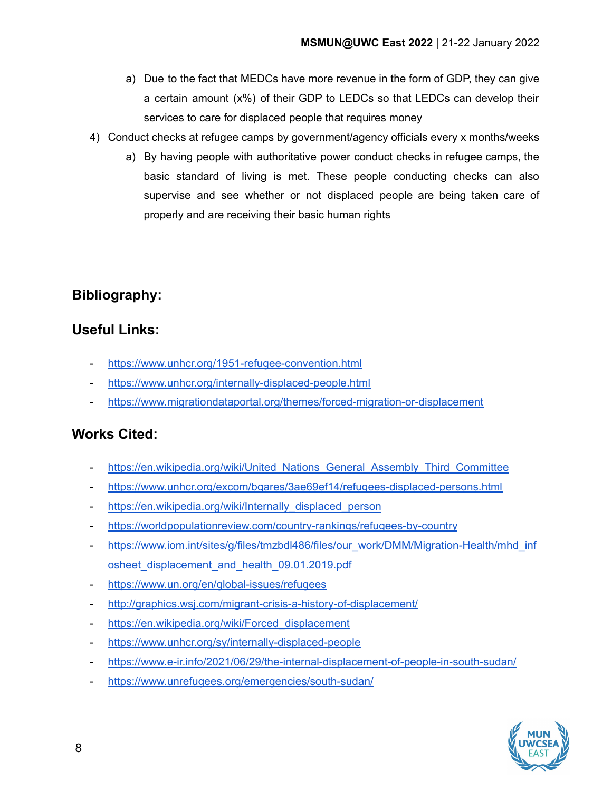- a) Due to the fact that MEDCs have more revenue in the form of GDP, they can give a certain amount (x%) of their GDP to LEDCs so that LEDCs can develop their services to care for displaced people that requires money
- 4) Conduct checks at refugee camps by government/agency officials every x months/weeks
	- a) By having people with authoritative power conduct checks in refugee camps, the basic standard of living is met. These people conducting checks can also supervise and see whether or not displaced people are being taken care of properly and are receiving their basic human rights

# **Bibliography:**

## **Useful Links:**

- <https://www.unhcr.org/1951-refugee-convention.html>
- <https://www.unhcr.org/internally-displaced-people.html>
- <https://www.migrationdataportal.org/themes/forced-migration-or-displacement>

## **Works Cited:**

- [https://en.wikipedia.org/wiki/United\\_Nations\\_General\\_Assembly\\_Third\\_Committee](https://en.wikipedia.org/wiki/United_Nations_General_Assembly_Third_Committee)
- <https://www.unhcr.org/excom/bgares/3ae69ef14/refugees-displaced-persons.html>
- [https://en.wikipedia.org/wiki/Internally\\_displaced\\_person](https://en.wikipedia.org/wiki/Internally_displaced_person)
- <https://worldpopulationreview.com/country-rankings/refugees-by-country>
- [https://www.iom.int/sites/g/files/tmzbdl486/files/our\\_work/DMM/Migration-Health/mhd\\_inf](https://www.iom.int/sites/g/files/tmzbdl486/files/our_work/DMM/Migration-Health/mhd_infosheet_displacement_and_health_09.01.2019.pdf) osheet displacement and health 09.01.2019.pdf
- <https://www.un.org/en/global-issues/refugees>
- <http://graphics.wsj.com/migrant-crisis-a-history-of-displacement/>
- https://en.wikipedia.org/wiki/Forced displacement
- <https://www.unhcr.org/sy/internally-displaced-people>
- <https://www.e-ir.info/2021/06/29/the-internal-displacement-of-people-in-south-sudan/>
- <https://www.unrefugees.org/emergencies/south-sudan/>